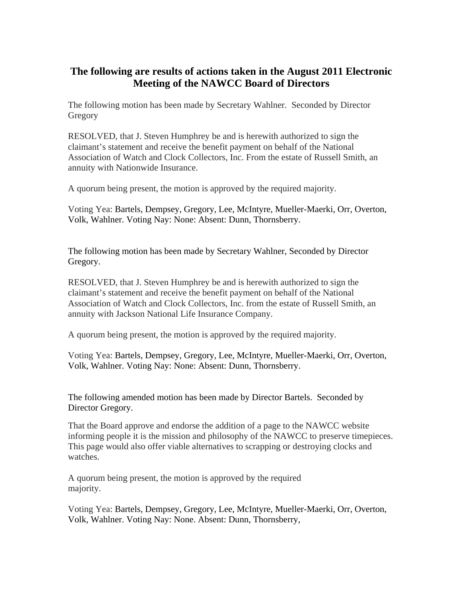## **The following are results of actions taken in the August 2011 Electronic Meeting of the NAWCC Board of Directors**

The following motion has been made by Secretary Wahlner. Seconded by Director Gregory

RESOLVED, that J. Steven Humphrey be and is herewith authorized to sign the claimant's statement and receive the benefit payment on behalf of the National Association of Watch and Clock Collectors, Inc. From the estate of Russell Smith, an annuity with Nationwide Insurance.

A quorum being present, the motion is approved by the required majority.

Voting Yea: Bartels, Dempsey, Gregory, Lee, McIntyre, Mueller-Maerki, Orr, Overton, Volk, Wahlner. Voting Nay: None: Absent: Dunn, Thornsberry.

The following motion has been made by Secretary Wahlner, Seconded by Director Gregory.

RESOLVED, that J. Steven Humphrey be and is herewith authorized to sign the claimant's statement and receive the benefit payment on behalf of the National Association of Watch and Clock Collectors, Inc. from the estate of Russell Smith, an annuity with Jackson National Life Insurance Company.

A quorum being present, the motion is approved by the required majority.

Voting Yea: Bartels, Dempsey, Gregory, Lee, McIntyre, Mueller-Maerki, Orr, Overton, Volk, Wahlner. Voting Nay: None: Absent: Dunn, Thornsberry.

The following amended motion has been made by Director Bartels. Seconded by Director Gregory.

That the Board approve and endorse the addition of a page to the NAWCC website informing people it is the mission and philosophy of the NAWCC to preserve timepieces. This page would also offer viable alternatives to scrapping or destroying clocks and watches.

A quorum being present, the motion is approved by the required majority.

Voting Yea: Bartels, Dempsey, Gregory, Lee, McIntyre, Mueller-Maerki, Orr, Overton, Volk, Wahlner. Voting Nay: None. Absent: Dunn, Thornsberry,